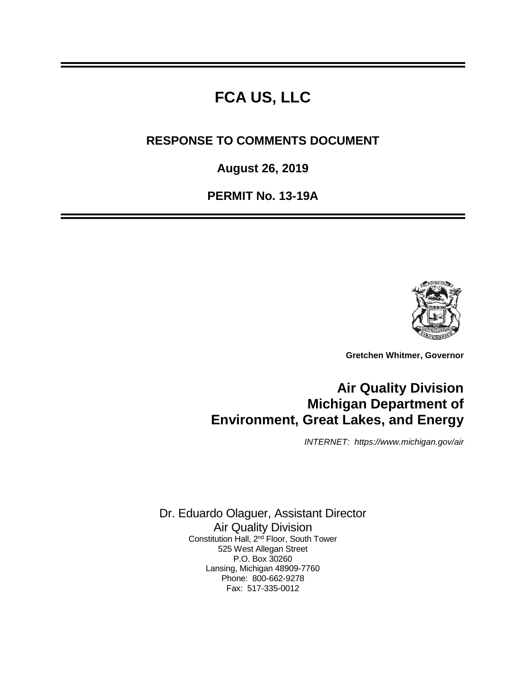## **FCA US, LLC**

**RESPONSE TO COMMENTS DOCUMENT**

**August 26, 2019**

**PERMIT No. 13-19A**



**Gretchen Whitmer, Governor**

## **Air Quality Division Michigan Department of Environment, Great Lakes, and Energy**

*INTERNET: https://www.michigan.gov/air*

Dr. Eduardo Olaguer, Assistant Director Air Quality Division Constitution Hall, 2<sup>nd</sup> Floor, South Tower 525 West Allegan Street P.O. Box 30260 Lansing, Michigan 48909-7760 Phone: 800-662-9278 Fax: 517-335-0012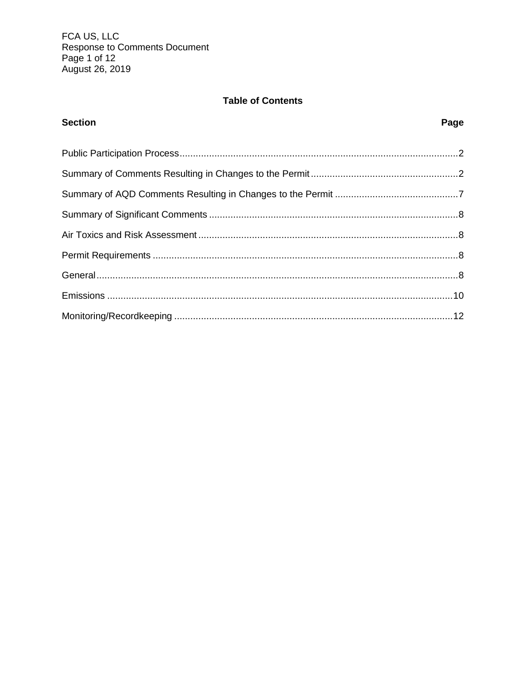## **Table of Contents**

# **Section** Page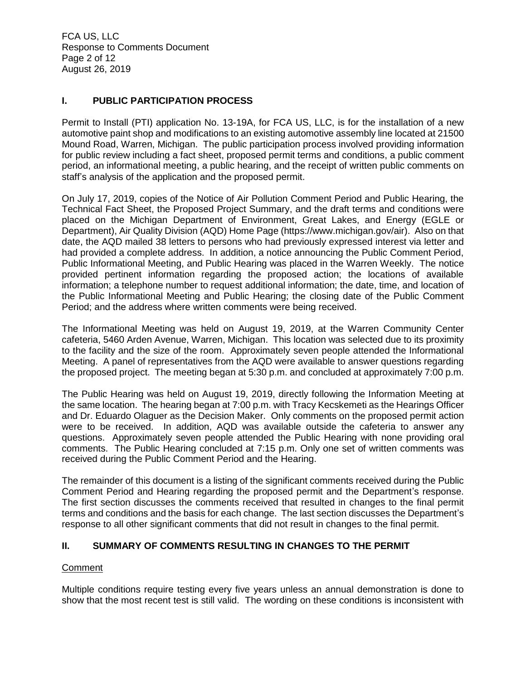FCA US, LLC Response to Comments Document Page 2 of 12 August 26, 2019

## **I. PUBLIC PARTICIPATION PROCESS**

Permit to Install (PTI) application No. 13-19A, for FCA US, LLC, is for the installation of a new automotive paint shop and modifications to an existing automotive assembly line located at 21500 Mound Road, Warren, Michigan. The public participation process involved providing information for public review including a fact sheet, proposed permit terms and conditions, a public comment period, an informational meeting, a public hearing, and the receipt of written public comments on staff's analysis of the application and the proposed permit.

On July 17, 2019, copies of the Notice of Air Pollution Comment Period and Public Hearing, the Technical Fact Sheet, the Proposed Project Summary, and the draft terms and conditions were placed on the Michigan Department of Environment, Great Lakes, and Energy (EGLE or Department), Air Quality Division (AQD) Home Page (https://www.michigan.gov/air). Also on that date, the AQD mailed 38 letters to persons who had previously expressed interest via letter and had provided a complete address. In addition, a notice announcing the Public Comment Period, Public Informational Meeting, and Public Hearing was placed in the Warren Weekly. The notice provided pertinent information regarding the proposed action; the locations of available information; a telephone number to request additional information; the date, time, and location of the Public Informational Meeting and Public Hearing; the closing date of the Public Comment Period; and the address where written comments were being received.

The Informational Meeting was held on August 19, 2019, at the Warren Community Center cafeteria, 5460 Arden Avenue, Warren, Michigan. This location was selected due to its proximity to the facility and the size of the room. Approximately seven people attended the Informational Meeting. A panel of representatives from the AQD were available to answer questions regarding the proposed project. The meeting began at 5:30 p.m. and concluded at approximately 7:00 p.m.

The Public Hearing was held on August 19, 2019, directly following the Information Meeting at the same location. The hearing began at 7:00 p.m. with Tracy Kecskemeti as the Hearings Officer and Dr. Eduardo Olaguer as the Decision Maker. Only comments on the proposed permit action were to be received. In addition, AQD was available outside the cafeteria to answer any questions. Approximately seven people attended the Public Hearing with none providing oral comments. The Public Hearing concluded at 7:15 p.m. Only one set of written comments was received during the Public Comment Period and the Hearing.

The remainder of this document is a listing of the significant comments received during the Public Comment Period and Hearing regarding the proposed permit and the Department's response. The first section discusses the comments received that resulted in changes to the final permit terms and conditions and the basis for each change. The last section discusses the Department's response to all other significant comments that did not result in changes to the final permit.

## **II. SUMMARY OF COMMENTS RESULTING IN CHANGES TO THE PERMIT**

## **Comment**

Multiple conditions require testing every five years unless an annual demonstration is done to show that the most recent test is still valid. The wording on these conditions is inconsistent with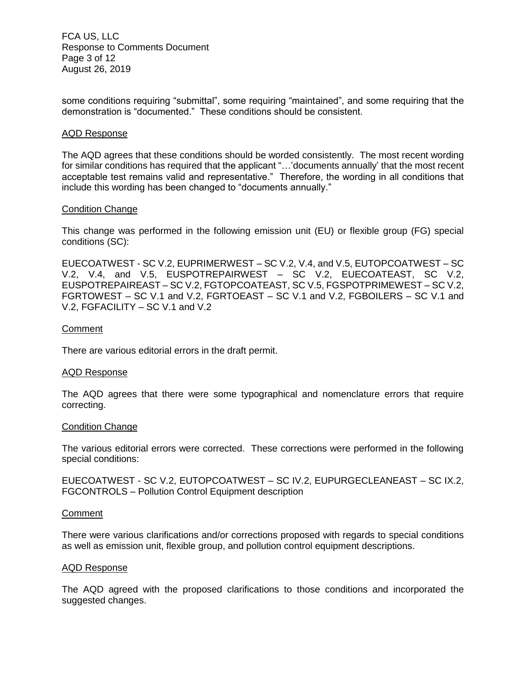FCA US, LLC Response to Comments Document Page 3 of 12 August 26, 2019

some conditions requiring "submittal", some requiring "maintained", and some requiring that the demonstration is "documented." These conditions should be consistent.

#### AQD Response

The AQD agrees that these conditions should be worded consistently. The most recent wording for similar conditions has required that the applicant "…'documents annually' that the most recent acceptable test remains valid and representative." Therefore, the wording in all conditions that include this wording has been changed to "documents annually."

#### Condition Change

This change was performed in the following emission unit (EU) or flexible group (FG) special conditions (SC):

EUECOATWEST - SC V.2, EUPRIMERWEST – SC V.2, V.4, and V.5, EUTOPCOATWEST – SC V.2, V.4, and V.5, EUSPOTREPAIRWEST – SC V.2, EUECOATEAST, SC V.2, EUSPOTREPAIREAST – SC V.2, FGTOPCOATEAST, SC V.5, FGSPOTPRIMEWEST – SC V.2, FGRTOWEST – SC V.1 and V.2, FGRTOEAST – SC V.1 and V.2, FGBOILERS – SC V.1 and V.2, FGFACILITY – SC V.1 and V.2

#### **Comment**

There are various editorial errors in the draft permit.

#### AQD Response

The AQD agrees that there were some typographical and nomenclature errors that require correcting.

#### Condition Change

The various editorial errors were corrected. These corrections were performed in the following special conditions:

EUECOATWEST - SC V.2, EUTOPCOATWEST – SC IV.2, EUPURGECLEANEAST – SC IX.2, FGCONTROLS – Pollution Control Equipment description

#### **Comment**

There were various clarifications and/or corrections proposed with regards to special conditions as well as emission unit, flexible group, and pollution control equipment descriptions.

#### AQD Response

The AQD agreed with the proposed clarifications to those conditions and incorporated the suggested changes.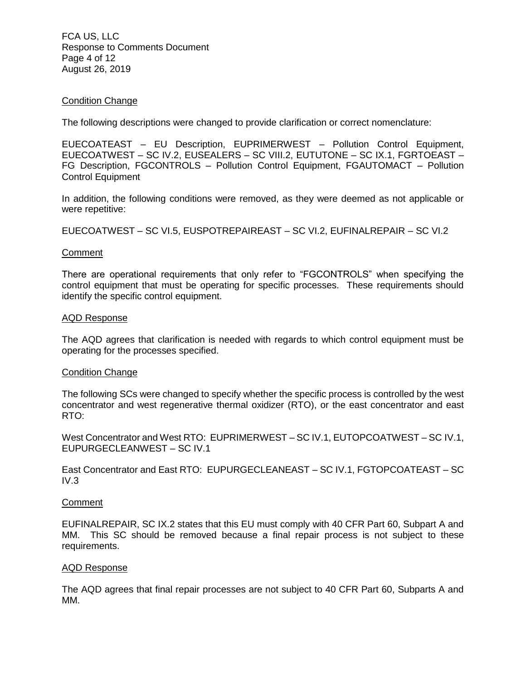FCA US, LLC Response to Comments Document Page 4 of 12 August 26, 2019

## Condition Change

The following descriptions were changed to provide clarification or correct nomenclature:

EUECOATEAST – EU Description, EUPRIMERWEST – Pollution Control Equipment, EUECOATWEST – SC IV.2, EUSEALERS – SC VIII.2, EUTUTONE – SC IX.1, FGRTOEAST – FG Description, FGCONTROLS – Pollution Control Equipment, FGAUTOMACT – Pollution Control Equipment

In addition, the following conditions were removed, as they were deemed as not applicable or were repetitive:

EUECOATWEST – SC VI.5, EUSPOTREPAIREAST – SC VI.2, EUFINALREPAIR – SC VI.2

#### **Comment**

There are operational requirements that only refer to "FGCONTROLS" when specifying the control equipment that must be operating for specific processes. These requirements should identify the specific control equipment.

#### AQD Response

The AQD agrees that clarification is needed with regards to which control equipment must be operating for the processes specified.

#### Condition Change

The following SCs were changed to specify whether the specific process is controlled by the west concentrator and west regenerative thermal oxidizer (RTO), or the east concentrator and east RTO:

West Concentrator and West RTO: EUPRIMERWEST – SC IV.1, EUTOPCOATWEST – SC IV.1, EUPURGECLEANWEST – SC IV.1

East Concentrator and East RTO: EUPURGECLEANEAST – SC IV.1, FGTOPCOATEAST – SC  $IV.3$ 

#### **Comment**

EUFINALREPAIR, SC IX.2 states that this EU must comply with 40 CFR Part 60, Subpart A and MM. This SC should be removed because a final repair process is not subject to these requirements.

#### AQD Response

The AQD agrees that final repair processes are not subject to 40 CFR Part 60, Subparts A and MM.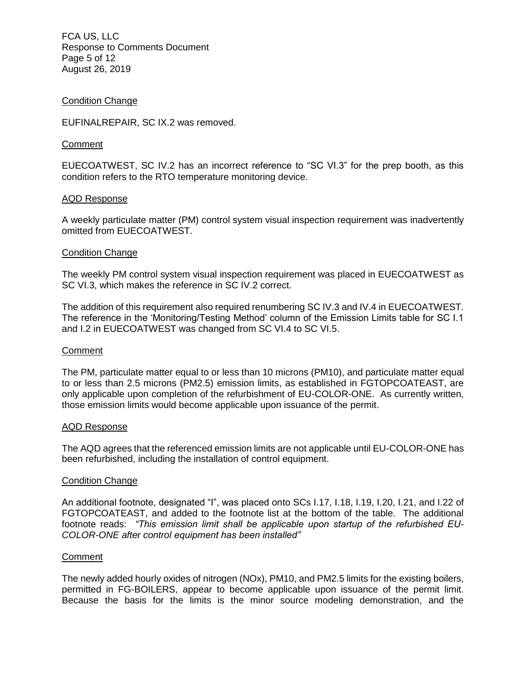FCA US, LLC Response to Comments Document Page 5 of 12 August 26, 2019

#### Condition Change

EUFINALREPAIR, SC IX.2 was removed.

#### **Comment**

EUECOATWEST, SC IV.2 has an incorrect reference to "SC VI.3" for the prep booth, as this condition refers to the RTO temperature monitoring device.

## AQD Response

A weekly particulate matter (PM) control system visual inspection requirement was inadvertently omitted from EUECOATWEST.

#### Condition Change

The weekly PM control system visual inspection requirement was placed in EUECOATWEST as SC VI.3, which makes the reference in SC IV.2 correct.

The addition of this requirement also required renumbering SC IV.3 and IV.4 in EUECOATWEST. The reference in the 'Monitoring/Testing Method' column of the Emission Limits table for SC I.1 and I.2 in EUECOATWEST was changed from SC VI.4 to SC VI.5.

#### **Comment**

The PM, particulate matter equal to or less than 10 microns (PM10), and particulate matter equal to or less than 2.5 microns (PM2.5) emission limits, as established in FGTOPCOATEAST, are only applicable upon completion of the refurbishment of EU-COLOR-ONE. As currently written, those emission limits would become applicable upon issuance of the permit.

#### AQD Response

The AQD agrees that the referenced emission limits are not applicable until EU-COLOR-ONE has been refurbished, including the installation of control equipment.

#### Condition Change

An additional footnote, designated "I", was placed onto SCs I.17, I.18, I.19, I.20, I.21, and I.22 of FGTOPCOATEAST, and added to the footnote list at the bottom of the table. The additional footnote reads: *"This emission limit shall be applicable upon startup of the refurbished EU-COLOR-ONE after control equipment has been installed"*

#### **Comment**

The newly added hourly oxides of nitrogen (NOx), PM10, and PM2.5 limits for the existing boilers, permitted in FG-BOILERS, appear to become applicable upon issuance of the permit limit. Because the basis for the limits is the minor source modeling demonstration, and the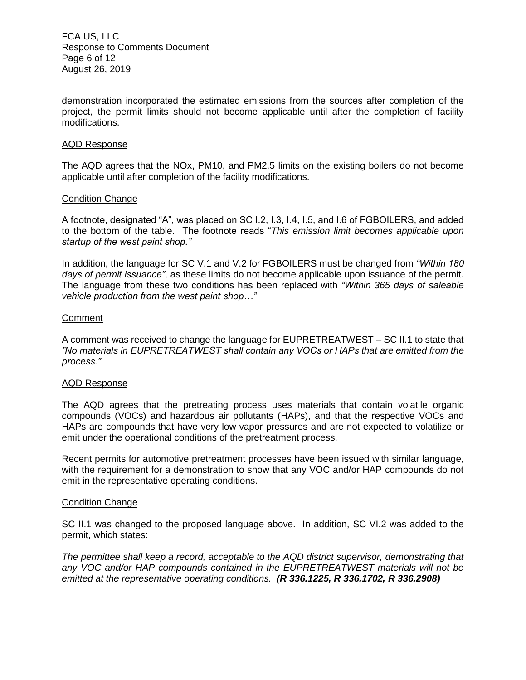FCA US, LLC Response to Comments Document Page 6 of 12 August 26, 2019

demonstration incorporated the estimated emissions from the sources after completion of the project, the permit limits should not become applicable until after the completion of facility modifications.

#### AQD Response

The AQD agrees that the NOx, PM10, and PM2.5 limits on the existing boilers do not become applicable until after completion of the facility modifications.

#### Condition Change

A footnote, designated "A", was placed on SC I.2, I.3, I.4, I.5, and I.6 of FGBOILERS, and added to the bottom of the table. The footnote reads "*This emission limit becomes applicable upon startup of the west paint shop."*

In addition, the language for SC V.1 and V.2 for FGBOILERS must be changed from *"Within 180 days of permit issuance"*, as these limits do not become applicable upon issuance of the permit. The language from these two conditions has been replaced with *"Within 365 days of saleable vehicle production from the west paint shop…"*

#### **Comment**

A comment was received to change the language for EUPRETREATWEST – SC II.1 to state that *"No materials in EUPRETREATWEST shall contain any VOCs or HAPs that are emitted from the process."*

#### AQD Response

The AQD agrees that the pretreating process uses materials that contain volatile organic compounds (VOCs) and hazardous air pollutants (HAPs), and that the respective VOCs and HAPs are compounds that have very low vapor pressures and are not expected to volatilize or emit under the operational conditions of the pretreatment process.

Recent permits for automotive pretreatment processes have been issued with similar language, with the requirement for a demonstration to show that any VOC and/or HAP compounds do not emit in the representative operating conditions.

#### Condition Change

SC II.1 was changed to the proposed language above. In addition, SC VI.2 was added to the permit, which states:

*The permittee shall keep a record, acceptable to the AQD district supervisor, demonstrating that any VOC and/or HAP compounds contained in the EUPRETREATWEST materials will not be emitted at the representative operating conditions. (R 336.1225, R 336.1702, R 336.2908)*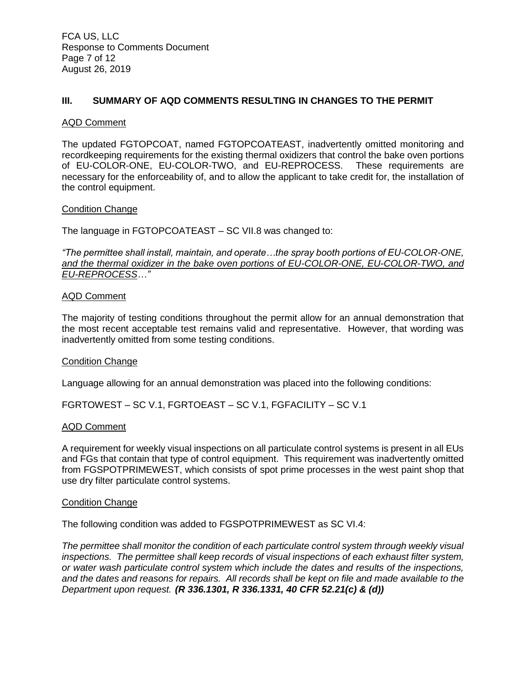## **III. SUMMARY OF AQD COMMENTS RESULTING IN CHANGES TO THE PERMIT**

#### AQD Comment

The updated FGTOPCOAT, named FGTOPCOATEAST, inadvertently omitted monitoring and recordkeeping requirements for the existing thermal oxidizers that control the bake oven portions of EU-COLOR-ONE, EU-COLOR-TWO, and EU-REPROCESS. These requirements are necessary for the enforceability of, and to allow the applicant to take credit for, the installation of the control equipment.

#### Condition Change

The language in FGTOPCOATEAST – SC VII.8 was changed to:

*"The permittee shall install, maintain, and operate…the spray booth portions of EU-COLOR-ONE, and the thermal oxidizer in the bake oven portions of EU-COLOR-ONE, EU-COLOR-TWO, and EU-REPROCESS…"*

#### AQD Comment

The majority of testing conditions throughout the permit allow for an annual demonstration that the most recent acceptable test remains valid and representative. However, that wording was inadvertently omitted from some testing conditions.

#### Condition Change

Language allowing for an annual demonstration was placed into the following conditions:

FGRTOWEST – SC V.1, FGRTOEAST – SC V.1, FGFACILITY – SC V.1

#### AQD Comment

A requirement for weekly visual inspections on all particulate control systems is present in all EUs and FGs that contain that type of control equipment. This requirement was inadvertently omitted from FGSPOTPRIMEWEST, which consists of spot prime processes in the west paint shop that use dry filter particulate control systems.

#### Condition Change

The following condition was added to FGSPOTPRIMEWEST as SC VI.4:

*The permittee shall monitor the condition of each particulate control system through weekly visual inspections. The permittee shall keep records of visual inspections of each exhaust filter system, or water wash particulate control system which include the dates and results of the inspections, and the dates and reasons for repairs. All records shall be kept on file and made available to the Department upon request. (R 336.1301, R 336.1331, 40 CFR 52.21(c) & (d))*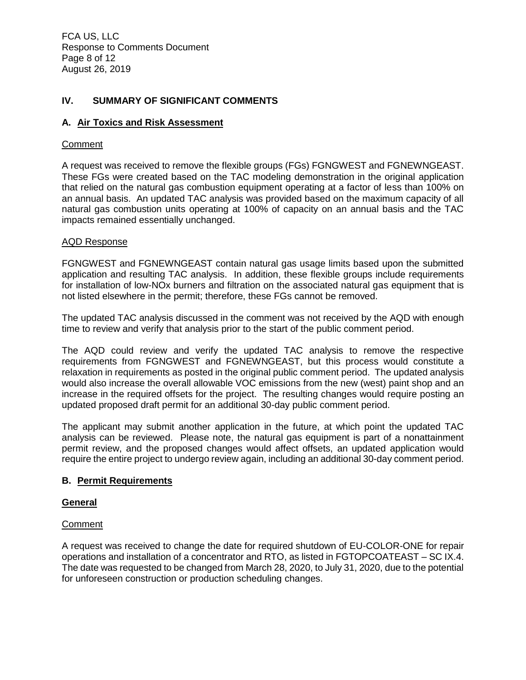FCA US, LLC Response to Comments Document Page 8 of 12 August 26, 2019

## **IV. SUMMARY OF SIGNIFICANT COMMENTS**

#### **A. Air Toxics and Risk Assessment**

#### **Comment**

A request was received to remove the flexible groups (FGs) FGNGWEST and FGNEWNGEAST. These FGs were created based on the TAC modeling demonstration in the original application that relied on the natural gas combustion equipment operating at a factor of less than 100% on an annual basis. An updated TAC analysis was provided based on the maximum capacity of all natural gas combustion units operating at 100% of capacity on an annual basis and the TAC impacts remained essentially unchanged.

#### AQD Response

FGNGWEST and FGNEWNGEAST contain natural gas usage limits based upon the submitted application and resulting TAC analysis. In addition, these flexible groups include requirements for installation of low-NOx burners and filtration on the associated natural gas equipment that is not listed elsewhere in the permit; therefore, these FGs cannot be removed.

The updated TAC analysis discussed in the comment was not received by the AQD with enough time to review and verify that analysis prior to the start of the public comment period.

The AQD could review and verify the updated TAC analysis to remove the respective requirements from FGNGWEST and FGNEWNGEAST, but this process would constitute a relaxation in requirements as posted in the original public comment period. The updated analysis would also increase the overall allowable VOC emissions from the new (west) paint shop and an increase in the required offsets for the project. The resulting changes would require posting an updated proposed draft permit for an additional 30-day public comment period.

The applicant may submit another application in the future, at which point the updated TAC analysis can be reviewed. Please note, the natural gas equipment is part of a nonattainment permit review, and the proposed changes would affect offsets, an updated application would require the entire project to undergo review again, including an additional 30-day comment period.

#### **B. Permit Requirements**

#### **General**

#### **Comment**

A request was received to change the date for required shutdown of EU-COLOR-ONE for repair operations and installation of a concentrator and RTO, as listed in FGTOPCOATEAST – SC IX.4. The date was requested to be changed from March 28, 2020, to July 31, 2020, due to the potential for unforeseen construction or production scheduling changes.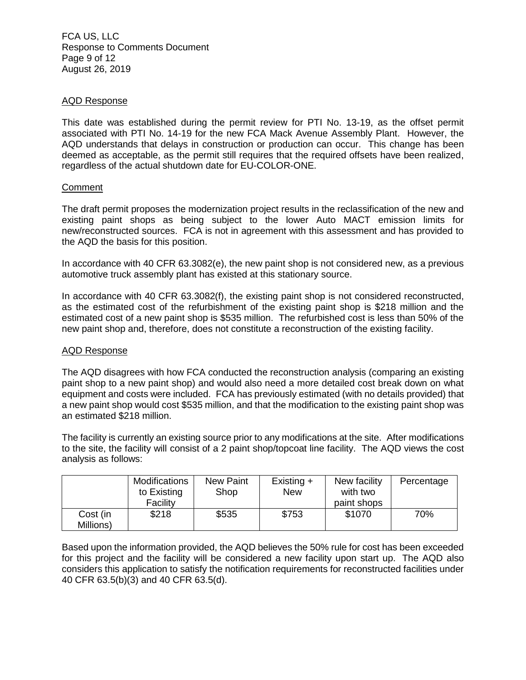FCA US, LLC Response to Comments Document Page 9 of 12 August 26, 2019

## AQD Response

This date was established during the permit review for PTI No. 13-19, as the offset permit associated with PTI No. 14-19 for the new FCA Mack Avenue Assembly Plant. However, the AQD understands that delays in construction or production can occur. This change has been deemed as acceptable, as the permit still requires that the required offsets have been realized, regardless of the actual shutdown date for EU-COLOR-ONE.

## **Comment**

The draft permit proposes the modernization project results in the reclassification of the new and existing paint shops as being subject to the lower Auto MACT emission limits for new/reconstructed sources. FCA is not in agreement with this assessment and has provided to the AQD the basis for this position.

In accordance with 40 CFR 63.3082(e), the new paint shop is not considered new, as a previous automotive truck assembly plant has existed at this stationary source.

In accordance with 40 CFR 63.3082(f), the existing paint shop is not considered reconstructed, as the estimated cost of the refurbishment of the existing paint shop is \$218 million and the estimated cost of a new paint shop is \$535 million. The refurbished cost is less than 50% of the new paint shop and, therefore, does not constitute a reconstruction of the existing facility.

## AQD Response

The AQD disagrees with how FCA conducted the reconstruction analysis (comparing an existing paint shop to a new paint shop) and would also need a more detailed cost break down on what equipment and costs were included. FCA has previously estimated (with no details provided) that a new paint shop would cost \$535 million, and that the modification to the existing paint shop was an estimated \$218 million.

The facility is currently an existing source prior to any modifications at the site. After modifications to the site, the facility will consist of a 2 paint shop/topcoat line facility. The AQD views the cost analysis as follows:

|                       | <b>Modifications</b><br>to Existing<br>Facility | New Paint<br>Shop | Existing $+$<br><b>New</b> | New facility<br>with two<br>paint shops | Percentage |
|-----------------------|-------------------------------------------------|-------------------|----------------------------|-----------------------------------------|------------|
| Cost (in<br>Millions) | \$218                                           | \$535             | \$753                      | \$1070                                  | 70%        |

Based upon the information provided, the AQD believes the 50% rule for cost has been exceeded for this project and the facility will be considered a new facility upon start up. The AQD also considers this application to satisfy the notification requirements for reconstructed facilities under 40 CFR 63.5(b)(3) and 40 CFR 63.5(d).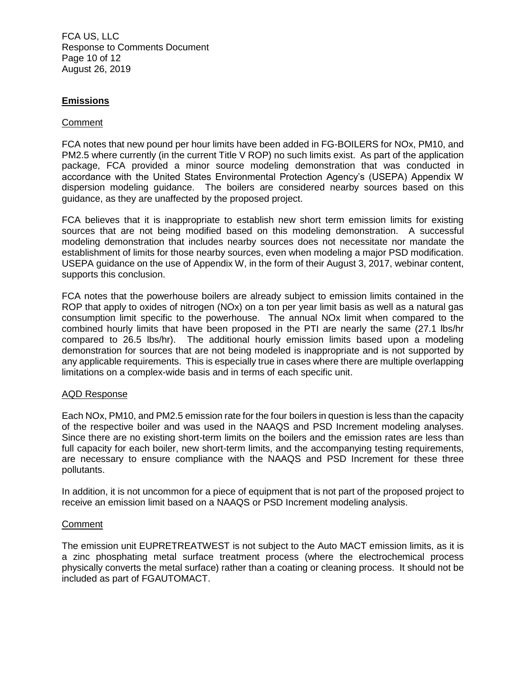FCA US, LLC Response to Comments Document Page 10 of 12 August 26, 2019

## **Emissions**

#### Comment

FCA notes that new pound per hour limits have been added in FG-BOILERS for NOx, PM10, and PM2.5 where currently (in the current Title V ROP) no such limits exist. As part of the application package, FCA provided a minor source modeling demonstration that was conducted in accordance with the United States Environmental Protection Agency's (USEPA) Appendix W dispersion modeling guidance. The boilers are considered nearby sources based on this guidance, as they are unaffected by the proposed project.

FCA believes that it is inappropriate to establish new short term emission limits for existing sources that are not being modified based on this modeling demonstration. A successful modeling demonstration that includes nearby sources does not necessitate nor mandate the establishment of limits for those nearby sources, even when modeling a major PSD modification. USEPA guidance on the use of Appendix W, in the form of their August 3, 2017, webinar content, supports this conclusion.

FCA notes that the powerhouse boilers are already subject to emission limits contained in the ROP that apply to oxides of nitrogen (NOx) on a ton per year limit basis as well as a natural gas consumption limit specific to the powerhouse. The annual NOx limit when compared to the combined hourly limits that have been proposed in the PTI are nearly the same (27.1 lbs/hr compared to 26.5 lbs/hr). The additional hourly emission limits based upon a modeling demonstration for sources that are not being modeled is inappropriate and is not supported by any applicable requirements. This is especially true in cases where there are multiple overlapping limitations on a complex-wide basis and in terms of each specific unit.

#### AQD Response

Each NOx, PM10, and PM2.5 emission rate for the four boilers in question is less than the capacity of the respective boiler and was used in the NAAQS and PSD Increment modeling analyses. Since there are no existing short-term limits on the boilers and the emission rates are less than full capacity for each boiler, new short-term limits, and the accompanying testing requirements, are necessary to ensure compliance with the NAAQS and PSD Increment for these three pollutants.

In addition, it is not uncommon for a piece of equipment that is not part of the proposed project to receive an emission limit based on a NAAQS or PSD Increment modeling analysis.

#### **Comment**

The emission unit EUPRETREATWEST is not subject to the Auto MACT emission limits, as it is a zinc phosphating metal surface treatment process (where the electrochemical process physically converts the metal surface) rather than a coating or cleaning process. It should not be included as part of FGAUTOMACT.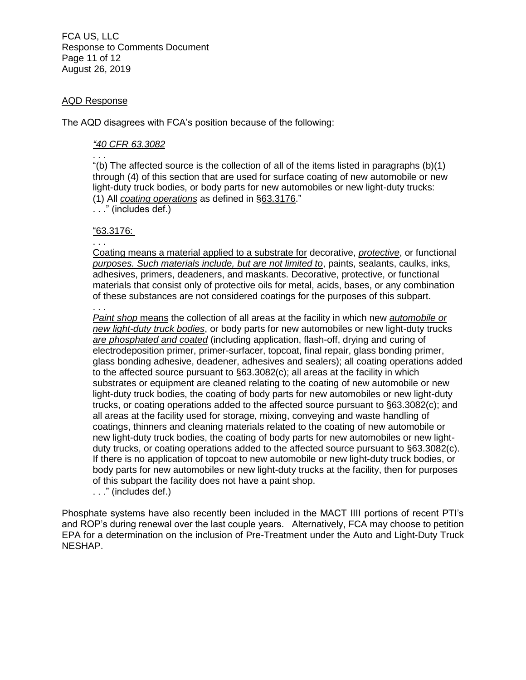FCA US, LLC Response to Comments Document Page 11 of 12 August 26, 2019

## AQD Response

The AQD disagrees with FCA's position because of the following:

## *"40 CFR 63.3082*

. . . "(b) The affected source is the collection of all of the items listed in paragraphs (b)(1) through (4) of this section that are used for surface coating of new automobile or new light-duty truck bodies, or body parts for new automobiles or new light-duty trucks: (1) All *coating operations* as defined in §63.3176."

. . ." (includes def.)

## "63.3176:

. . .

Coating means a material applied to a substrate for decorative, *protective*, or functional *purposes. Such materials include, but are not limited to*, paints, sealants, caulks, inks, adhesives, primers, deadeners, and maskants. Decorative, protective, or functional materials that consist only of protective oils for metal, acids, bases, or any combination of these substances are not considered coatings for the purposes of this subpart.

. . . *Paint shop* means the collection of all areas at the facility in which new *automobile or new light-duty truck bodies*, or body parts for new automobiles or new light-duty trucks *are phosphated and coated* (including application, flash-off, drying and curing of electrodeposition primer, primer-surfacer, topcoat, final repair, glass bonding primer, glass bonding adhesive, deadener, adhesives and sealers); all coating operations added to the affected source pursuant to §63.3082(c); all areas at the facility in which substrates or equipment are cleaned relating to the coating of new automobile or new light-duty truck bodies, the coating of body parts for new automobiles or new light-duty trucks, or coating operations added to the affected source pursuant to §63.3082(c); and all areas at the facility used for storage, mixing, conveying and waste handling of coatings, thinners and cleaning materials related to the coating of new automobile or new light-duty truck bodies, the coating of body parts for new automobiles or new lightduty trucks, or coating operations added to the affected source pursuant to §63.3082(c). If there is no application of topcoat to new automobile or new light-duty truck bodies, or body parts for new automobiles or new light-duty trucks at the facility, then for purposes of this subpart the facility does not have a paint shop.

. . ." (includes def.)

Phosphate systems have also recently been included in the MACT IIII portions of recent PTI's and ROP's during renewal over the last couple years. Alternatively, FCA may choose to petition EPA for a determination on the inclusion of Pre-Treatment under the Auto and Light-Duty Truck NESHAP.